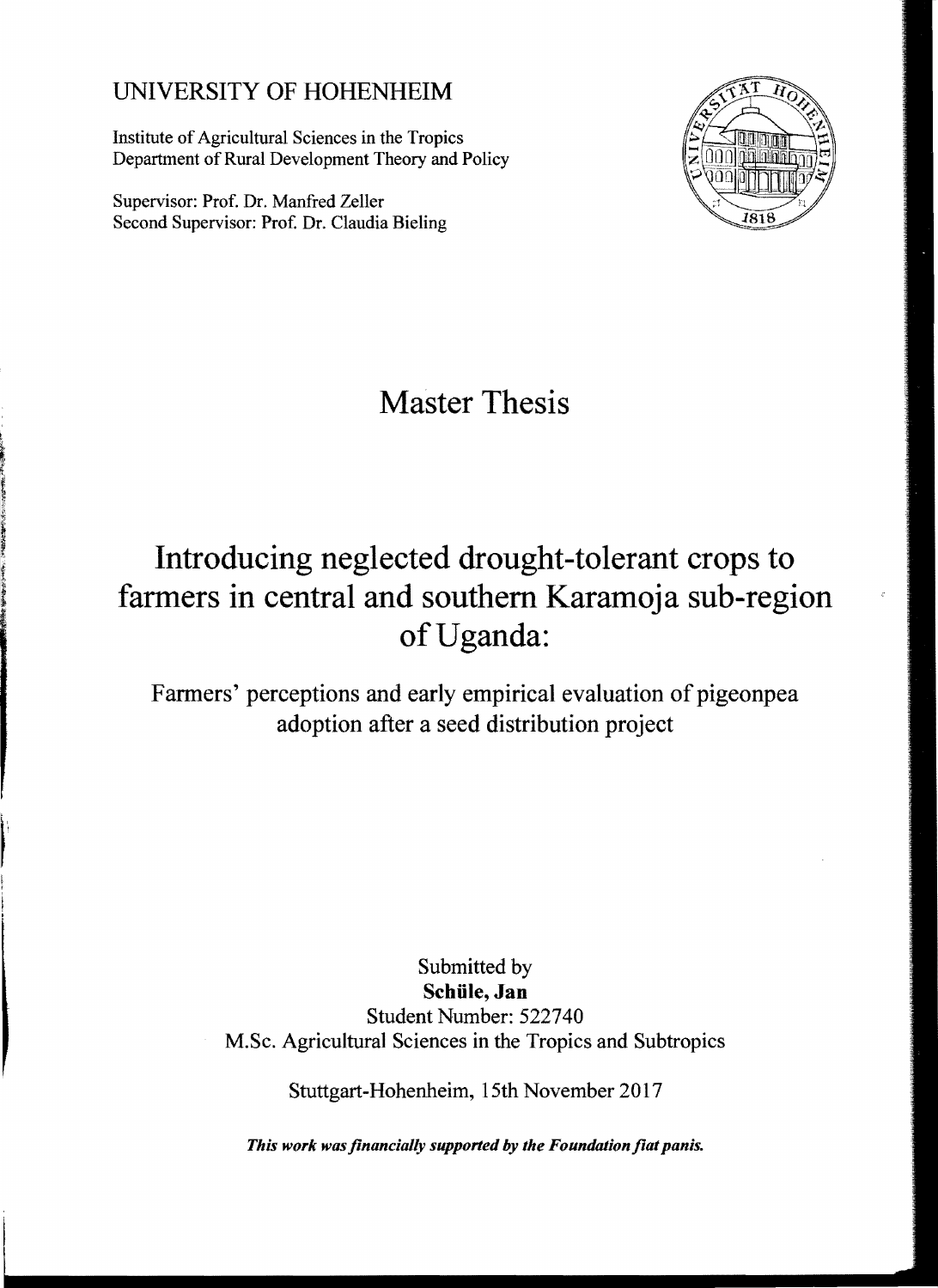## UNIVERSITY OF HOHENHEIM

Institute of Agricultural Sciences in the Tropics Department of Rural Development Theory and Policy

Supervisor: Prof. Dr. Manfred Zeller Second Supervisor: Prof. Dr. Claudia Bieling



**Master Thesis** 

## **Introducing neglected drought-tolerant crops to farmers in central and southem Karamoja sub-region ofUganda:**

Farmers' perceptions and early empirical evaluation of pigeonpea adoption after a seed distribution project

> Submitted by **Schüle, Jan**  Student Number: 522740 M.Sc. Agricultural Sciences in the Tropics and Subtropics

> > Stuttgart-Hohenheim, 15th November 2017

*This work was financially supported by the Foundation fiat panis.*